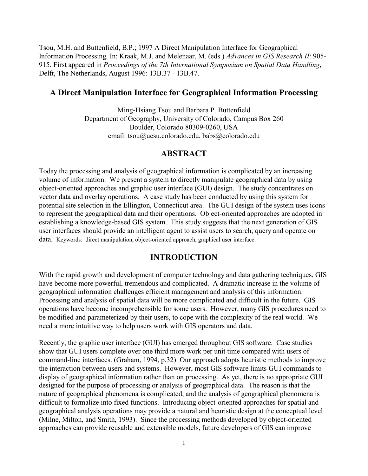Tsou, M.H. and Buttenfield, B.P.; 1997 A Direct Manipulation Interface for Geographical Information Processing*.* In: Kraak, M.J. and Melenaar, M. (eds.) *Advances in GIS Research II*: 905- 915. First appeared in *Proceedings of the 7th International Symposium on Spatial Data Handling*, Delft, The Netherlands, August 1996: 13B.37 - 13B.47.

### **A Direct Manipulation Interface for Geographical Information Processing**

Ming-Hsiang Tsou and Barbara P. Buttenfield Department of Geography, University of Colorado, Campus Box 260 Boulder, Colorado 80309-0260, USA email: tsou@ucsu.colorado.edu, babs@colorado.edu

### **ABSTRACT**

Today the processing and analysis of geographical information is complicated by an increasing volume of information. We present a system to directly manipulate geographical data by using object-oriented approaches and graphic user interface (GUI) design. The study concentrates on vector data and overlay operations. A case study has been conducted by using this system for potential site selection in the Ellington, Connecticut area. The GUI design of the system uses icons to represent the geographical data and their operations. Object-oriented approaches are adopted in establishing a knowledge-based GIS system. This study suggests that the next generation of GIS user interfaces should provide an intelligent agent to assist users to search, query and operate on data. Keywords: direct manipulation, object-oriented approach, graphical user interface.

## **INTRODUCTION**

With the rapid growth and development of computer technology and data gathering techniques, GIS have become more powerful, tremendous and complicated. A dramatic increase in the volume of geographical information challenges efficient management and analysis of this information. Processing and analysis of spatial data will be more complicated and difficult in the future. GIS operations have become incomprehensible for some users. However, many GIS procedures need to be modified and parameterized by their users, to cope with the complexity of the real world. We need a more intuitive way to help users work with GIS operators and data.

Recently, the graphic user interface (GUI) has emerged throughout GIS software. Case studies show that GUI users complete over one third more work per unit time compared with users of command-line interfaces. (Graham, 1994, p.32) Our approach adopts heuristic methods to improve the interaction between users and systems. However, most GIS software limits GUI commands to display of geographical information rather than on processing. As yet, there is no appropriate GUI designed for the purpose of processing or analysis of geographical data. The reason is that the nature of geographical phenomena is complicated, and the analysis of geographical phenomena is difficult to formalize into fixed functions. Introducing object-oriented approaches for spatial and geographical analysis operations may provide a natural and heuristic design at the conceptual level (Milne, Milton, and Smith, 1993). Since the processing methods developed by object-oriented approaches can provide reusable and extensible models, future developers of GIS can improve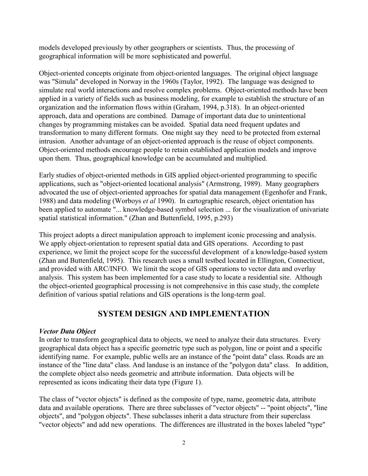models developed previously by other geographers or scientists. Thus, the processing of geographical information will be more sophisticated and powerful.

Object-oriented concepts originate from object-oriented languages. The original object language was "Simula" developed in Norway in the 1960s (Taylor, 1992). The language was designed to simulate real world interactions and resolve complex problems. Object-oriented methods have been applied in a variety of fields such as business modeling, for example to establish the structure of an organization and the information flows within (Graham, 1994, p.318). In an object-oriented approach, data and operations are combined. Damage of important data due to unintentional changes by programming mistakes can be avoided. Spatial data need frequent updates and transformation to many different formats. One might say they need to be protected from external intrusion. Another advantage of an object-oriented approach is the reuse of object components. Object-oriented methods encourage people to retain established application models and improve upon them. Thus, geographical knowledge can be accumulated and multiplied.

Early studies of object-oriented methods in GIS applied object-oriented programming to specific applications, such as "object-oriented locational analysis" (Armstrong, 1989). Many geographers advocated the use of object-oriented approaches for spatial data management (Egenhofer and Frank, 1988) and data modeling (Worboys *et al* 1990). In cartographic research, object orientation has been applied to automate "... knowledge-based symbol selection ... for the visualization of univariate spatial statistical information." (Zhan and Buttenfield, 1995, p.293)

This project adopts a direct manipulation approach to implement iconic processing and analysis. We apply object-orientation to represent spatial data and GIS operations. According to past experience, we limit the project scope for the successful development of a knowledge-based system (Zhan and Buttenfield, 1995). This research uses a small testbed located in Ellington, Connecticut, and provided with ARC/INFO. We limit the scope of GIS operations to vector data and overlay analysis. This system has been implemented for a case study to locate a residential site. Although the object-oriented geographical processing is not comprehensive in this case study, the complete definition of various spatial relations and GIS operations is the long-term goal.

# **SYSTEM DESIGN AND IMPLEMENTATION**

### *Vector Data Object*

In order to transform geographical data to objects, we need to analyze their data structures. Every geographical data object has a specific geometric type such as polygon, line or point and a specific identifying name. For example, public wells are an instance of the "point data" class. Roads are an instance of the "line data" class. And landuse is an instance of the "polygon data" class. In addition, the complete object also needs geometric and attribute information. Data objects will be represented as icons indicating their data type (Figure 1).

The class of "vector objects" is defined as the composite of type, name, geometric data, attribute data and available operations. There are three subclasses of "vector objects" -- "point objects", "line objects", and "polygon objects". These subclasses inherit a data structure from their superclass "vector objects" and add new operations. The differences are illustrated in the boxes labeled "type"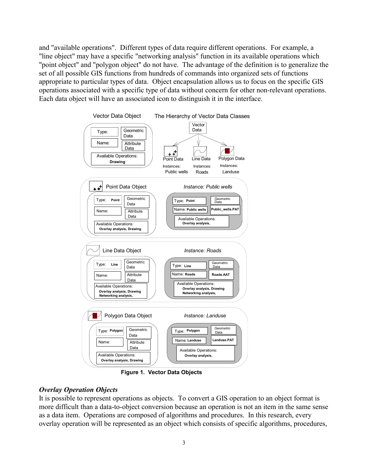and "available operations". Different types of data require different operations. For example, a "line object" may have a specific "networking analysis" function in its available operations which "point object" and "polygon object" do not have. The advantage of the definition is to generalize the set of all possible GIS functions from hundreds of commands into organized sets of functions appropriate to particular types of data. Object encapsulation allows us to focus on the specific GIS operations associated with a specific type of data without concern for other non-relevant operations. Each data object will have an associated icon to distinguish it in the interface.



**Figure 1. Vector Data Objects**

## *Overlay Operation Objects*

It is possible to represent operations as objects. To convert a GIS operation to an object format is more difficult than a data-to-object conversion because an operation is not an item in the same sense as a data item. Operations are composed of algorithms and procedures. In this research, every overlay operation will be represented as an object which consists of specific algorithms, procedures,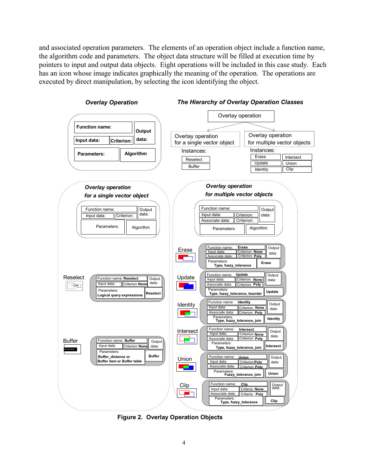and associated operation parameters. The elements of an operation object include a function name, the algorithm code and parameters. The object data structure will be filled at execution time by pointers to input and output data objects. Eight operations will be included in this case study. Each has an icon whose image indicates graphically the meaning of the operation. The operations are executed by direct manipulation, by selecting the icon identifying the object.



**Figure 2. Overlay Operation Objects**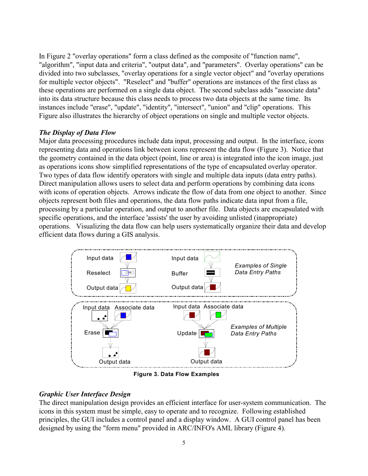In Figure 2 "overlay operations" form a class defined as the composite of "function name", "algorithm", "input data and criteria", "output data", and "parameters". Overlay operations" can be divided into two subclasses, "overlay operations for a single vector object" and "overlay operations for multiple vector objects". "Reselect" and "buffer" operations are instances of the first class as these operations are performed on a single data object. The second subclass adds "associate data" into its data structure because this class needs to process two data objects at the same time. Its instances include "erase", "update", "identity", "intersect", "union" and "clip" operations. This Figure also illustrates the hierarchy of object operations on single and multiple vector objects.

### *The Display of Data Flow*

Major data processing procedures include data input, processing and output. In the interface, icons representing data and operations link between icons represent the data flow (Figure 3). Notice that the geometry contained in the data object (point, line or area) is integrated into the icon image, just as operations icons show simplified representations of the type of encapsulated overlay operator. Two types of data flow identify operators with single and multiple data inputs (data entry paths). Direct manipulation allows users to select data and perform operations by combining data icons with icons of operation objects. Arrows indicate the flow of data from one object to another. Since objects represent both files and operations, the data flow paths indicate data input from a file, processing by a particular operation, and output to another file. Data objects are encapsulated with specific operations, and the interface 'assists' the user by avoiding unlisted (inappropriate) operations. Visualizing the data flow can help users systematically organize their data and develop efficient data flows during a GIS analysis.



**Figure 3. Data Flow Examples**

## *Graphic User Interface Design*

The direct manipulation design provides an efficient interface for user-system communication. The icons in this system must be simple, easy to operate and to recognize. Following established principles, the GUI includes a control panel and a display window. A GUI control panel has been designed by using the "form menu" provided in ARC/INFO's AML library (Figure 4).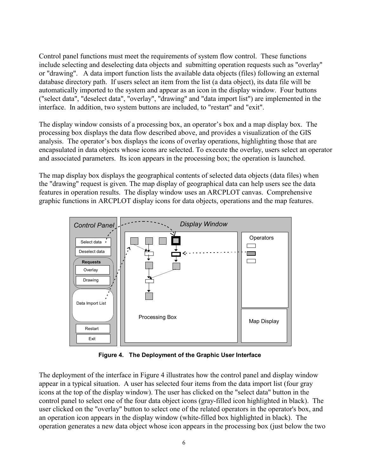Control panel functions must meet the requirements of system flow control. These functions include selecting and deselecting data objects and submitting operation requests such as "overlay" or "drawing". A data import function lists the available data objects (files) following an external database directory path. If users select an item from the list (a data object), its data file will be automatically imported to the system and appear as an icon in the display window. Four buttons ("select data", "deselect data", "overlay", "drawing" and "data import list") are implemented in the interface. In addition, two system buttons are included, to "restart" and "exit".

The display window consists of a processing box, an operator's box and a map display box. The processing box displays the data flow described above, and provides a visualization of the GIS analysis. The operator's box displays the icons of overlay operations, highlighting those that are encapsulated in data objects whose icons are selected. To execute the overlay, users select an operator and associated parameters. Its icon appears in the processing box; the operation is launched.

The map display box displays the geographical contents of selected data objects (data files) when the "drawing" request is given. The map display of geographical data can help users see the data features in operation results. The display window uses an ARCPLOT canvas. Comprehensive graphic functions in ARCPLOT display icons for data objects, operations and the map features.



**Figure 4. The Deployment of the Graphic User Interface**

The deployment of the interface in Figure 4 illustrates how the control panel and display window appear in a typical situation. A user has selected four items from the data import list (four gray icons at the top of the display window). The user has clicked on the "select data" button in the control panel to select one of the four data object icons (gray-filled icon highlighted in black). The user clicked on the "overlay" button to select one of the related operators in the operator's box, and an operation icon appears in the display window (white-filled box highlighted in black). The operation generates a new data object whose icon appears in the processing box (just below the two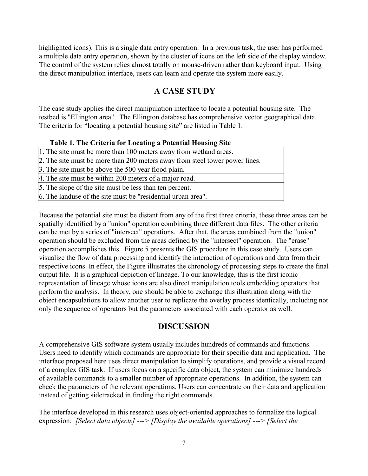highlighted icons). This is a single data entry operation. In a previous task, the user has performed a multiple data entry operation, shown by the cluster of icons on the left side of the display window. The control of the system relies almost totally on mouse-driven rather than keyboard input. Using the direct manipulation interface, users can learn and operate the system more easily.

# **A CASE STUDY**

The case study applies the direct manipulation interface to locate a potential housing site. The testbed is "Ellington area". The Ellington database has comprehensive vector geographical data. The criteria for "locating a potential housing site" are listed in Table 1.

### **Table 1. The Criteria for Locating a Potential Housing Site**

| 1. The site must be more than 100 meters away from wetland areas.           |
|-----------------------------------------------------------------------------|
| 2. The site must be more than 200 meters away from steel tower power lines. |
| 3. The site must be above the 500 year flood plain.                         |
| 4. The site must be within 200 meters of a major road.                      |
| 5. The slope of the site must be less than ten percent.                     |

6. The landuse of the site must be "residential urban area".

Because the potential site must be distant from any of the first three criteria, these three areas can be spatially identified by a "union" operation combining three different data files. The other criteria can be met by a series of "intersect" operations. After that, the areas combined from the "union" operation should be excluded from the areas defined by the "intersect" operation. The "erase" operation accomplishes this. Figure 5 presents the GIS procedure in this case study. Users can visualize the flow of data processing and identify the interaction of operations and data from their respective icons. In effect, the Figure illustrates the chronology of processing steps to create the final output file. It is a graphical depiction of lineage. To our knowledge, this is the first iconic representation of lineage whose icons are also direct manipulation tools embedding operators that perform the analysis. In theory, one should be able to exchange this illustration along with the object encapsulations to allow another user to replicate the overlay process identically, including not only the sequence of operators but the parameters associated with each operator as well.

# **DISCUSSION**

A comprehensive GIS software system usually includes hundreds of commands and functions. Users need to identify which commands are appropriate for their specific data and application. The interface proposed here uses direct manipulation to simplify operations, and provide a visual record of a complex GIS task. If users focus on a specific data object, the system can minimize hundreds of available commands to a smaller number of appropriate operations. In addition, the system can check the parameters of the relevant operations. Users can concentrate on their data and application instead of getting sidetracked in finding the right commands.

The interface developed in this research uses object-oriented approaches to formalize the logical expression: *[Select data objects] ---> [Display the available operations] ---> [Select the*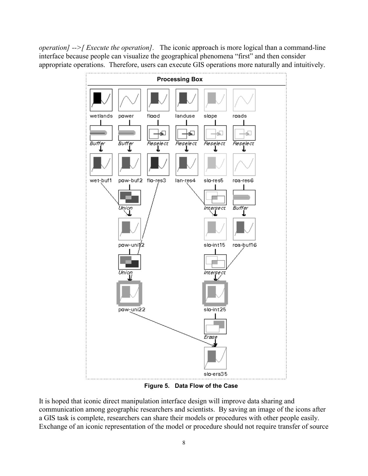*operation] -->[ Execute the operation].* The iconic approach is more logical than a command-line interface because people can visualize the geographical phenomena "first" and then consider appropriate operations. Therefore, users can execute GIS operations more naturally and intuitively.



**Figure 5. Data Flow of the Case**

It is hoped that iconic direct manipulation interface design will improve data sharing and communication among geographic researchers and scientists. By saving an image of the icons after a GIS task is complete, researchers can share their models or procedures with other people easily. Exchange of an iconic representation of the model or procedure should not require transfer of source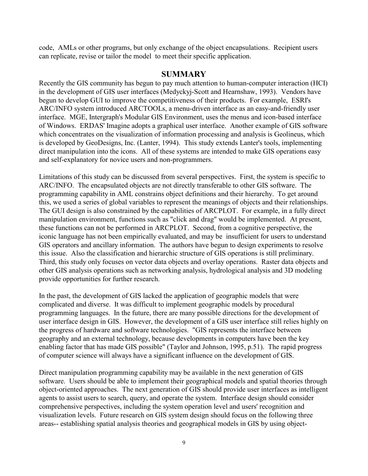code, AMLs or other programs, but only exchange of the object encapsulations. Recipient users can replicate, revise or tailor the model to meet their specific application.

### **SUMMARY**

Recently the GIS community has begun to pay much attention to human-computer interaction (HCI) in the development of GIS user interfaces (Medyckyj-Scott and Hearnshaw, 1993). Vendors have begun to develop GUI to improve the competitiveness of their products. For example, ESRI's ARC/INFO system introduced ARCTOOLs, a menu-driven interface as an easy-and-friendly user interface. MGE, Intergraph's Modular GIS Environment, uses the menus and icon-based interface of Windows. ERDAS' Imagine adopts a graphical user interface. Another example of GIS software which concentrates on the visualization of information processing and analysis is Geolineus, which is developed by GeoDesigns, Inc. (Lanter, 1994). This study extends Lanter's tools, implementing direct manipulation into the icons. All of these systems are intended to make GIS operations easy and self-explanatory for novice users and non-programmers.

Limitations of this study can be discussed from several perspectives. First, the system is specific to ARC/INFO. The encapsulated objects are not directly transferable to other GIS software. The programming capability in AML constrains object definitions and their hierarchy. To get around this, we used a series of global variables to represent the meanings of objects and their relationships. The GUI design is also constrained by the capabilities of ARCPLOT. For example, in a fully direct manipulation environment, functions such as "click and drag" would be implemented. At present, these functions can not be performed in ARCPLOT. Second, from a cognitive perspective, the iconic language has not been empirically evaluated, and may be insufficient for users to understand GIS operators and ancillary information. The authors have begun to design experiments to resolve this issue. Also the classification and hierarchic structure of GIS operations is still preliminary. Third, this study only focuses on vector data objects and overlay operations. Raster data objects and other GIS analysis operations such as networking analysis, hydrological analysis and 3D modeling provide opportunities for further research.

In the past, the development of GIS lacked the application of geographic models that were complicated and diverse. It was difficult to implement geographic models by procedural programming languages. In the future, there are many possible directions for the development of user interface design in GIS. However, the development of a GIS user interface still relies highly on the progress of hardware and software technologies. "GIS represents the interface between geography and an external technology, because developments in computers have been the key enabling factor that has made GIS possible" (Taylor and Johnson, 1995, p.51). The rapid progress of computer science will always have a significant influence on the development of GIS.

Direct manipulation programming capability may be available in the next generation of GIS software. Users should be able to implement their geographical models and spatial theories through object-oriented approaches. The next generation of GIS should provide user interfaces as intelligent agents to assist users to search, query, and operate the system. Interface design should consider comprehensive perspectives, including the system operation level and users' recognition and visualization levels. Future research on GIS system design should focus on the following three areas-- establishing spatial analysis theories and geographical models in GIS by using object